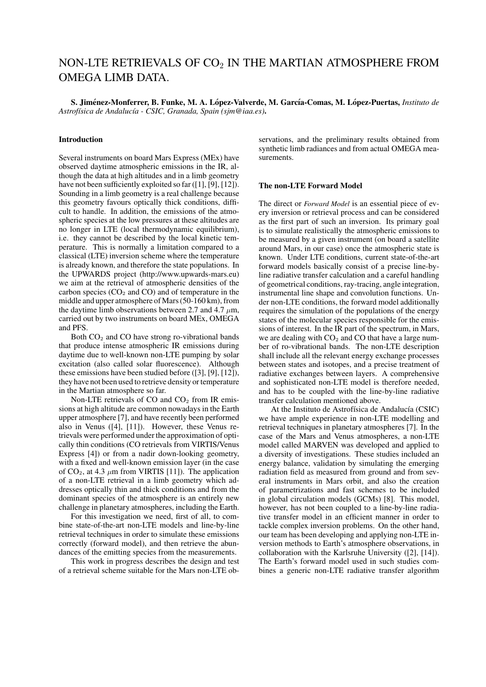# NON-LTE RETRIEVALS OF  $CO<sub>2</sub>$  IN THE MARTIAN ATMOSPHERE FROM OMEGA LIMB DATA.

S. Jiménez-Monferrer, B. Funke, M. A. López-Valverde, M. García-Comas, M. López-Puertas, *Instituto de Astrof´ısica de Andaluc´ıa - CSIC, Granada, Spain (sjm@iaa.es)*.

## Introduction

Several instruments on board Mars Express (MEx) have observed daytime atmospheric emissions in the IR, although the data at high altitudes and in a limb geometry have not been sufficiently exploited so far ([1], [9], [12]). Sounding in a limb geometry is a real challenge because this geometry favours optically thick conditions, difficult to handle. In addition, the emissions of the atmospheric species at the low pressures at these altitudes are no longer in LTE (local thermodynamic equilibrium), i.e. they cannot be described by the local kinetic temperature. This is normally a limitation compared to a classical (LTE) inversion scheme where the temperature is already known, and therefore the state populations. In the UPWARDS project (http://www.upwards-mars.eu) we aim at the retrieval of atmospheric densities of the carbon species ( $CO<sub>2</sub>$  and  $CO<sub>2</sub>$ ) and of temperature in the middle and upper atmosphere of Mars (50-160 km), from the daytime limb observations between 2.7 and 4.7  $\mu$ m, carried out by two instruments on board MEx, OMEGA and PFS.

Both  $CO<sub>2</sub>$  and CO have strong ro-vibrational bands that produce intense atmospheric IR emissions during daytime due to well-known non-LTE pumping by solar excitation (also called solar fluorescence). Although these emissions have been studied before ([3], [9], [12]), they have not been used to retrieve density or temperature in the Martian atmosphere so far.

Non-LTE retrievals of  $CO$  and  $CO<sub>2</sub>$  from IR emissions at high altitude are common nowadays in the Earth upper atmosphere [7], and have recently been performed also in Venus ([4], [11]). However, these Venus retrievals were performed under the approximation of optically thin conditions (CO retrievals from VIRTIS/Venus Express [4]) or from a nadir down-looking geometry, with a fixed and well-known emission layer (in the case of  $CO<sub>2</sub>$ , at 4.3  $\mu$ m from VIRTIS [11]). The application of a non-LTE retrieval in a limb geometry which addresses optically thin and thick conditions and from the dominant species of the atmosphere is an entirely new challenge in planetary atmospheres, including the Earth.

For this investigation we need, first of all, to combine state-of-the-art non-LTE models and line-by-line retrieval techniques in order to simulate these emissions correctly (forward model), and then retrieve the abundances of the emitting species from the measurements.

This work in progress describes the design and test of a retrieval scheme suitable for the Mars non-LTE observations, and the preliminary results obtained from synthetic limb radiances and from actual OMEGA measurements.

## The non-LTE Forward Model

The direct or *Forward Model* is an essential piece of every inversion or retrieval process and can be considered as the first part of such an inversion. Its primary goal is to simulate realistically the atmospheric emissions to be measured by a given instrument (on board a satellite around Mars, in our case) once the atmospheric state is known. Under LTE conditions, current state-of-the-art forward models basically consist of a precise line-byline radiative transfer calculation and a careful handling of geometrical conditions, ray-tracing, angle integration, instrumental line shape and convolution functions. Under non-LTE conditions, the forward model additionally requires the simulation of the populations of the energy states of the molecular species responsible for the emissions of interest. In the IR part of the spectrum, in Mars, we are dealing with  $CO<sub>2</sub>$  and CO that have a large number of ro-vibrational bands. The non-LTE description shall include all the relevant energy exchange processes between states and isotopes, and a precise treatment of radiative exchanges between layers. A comprehensive and sophisticated non-LTE model is therefore needed, and has to be coupled with the line-by-line radiative transfer calculation mentioned above.

At the Instituto de Astrofísica de Andalucía (CSIC) we have ample experience in non-LTE modelling and retrieval techniques in planetary atmospheres [7]. In the case of the Mars and Venus atmospheres, a non-LTE model called MARVEN was developed and applied to a diversity of investigations. These studies included an energy balance, validation by simulating the emerging radiation field as measured from ground and from several instruments in Mars orbit, and also the creation of parametrizations and fast schemes to be included in global circulation models (GCMs) [8]. This model, however, has not been coupled to a line-by-line radiative transfer model in an efficient manner in order to tackle complex inversion problems. On the other hand, our team has been developing and applying non-LTE inversion methods to Earth's atmosphere observations, in collaboration with the Karlsruhe University ([2], [14]). The Earth's forward model used in such studies combines a generic non-LTE radiative transfer algorithm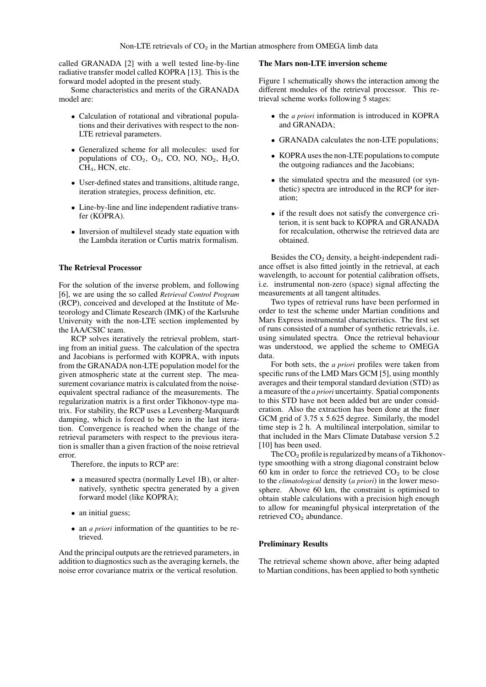called GRANADA [2] with a well tested line-by-line radiative transfer model called KOPRA [13]. This is the forward model adopted in the present study.

Some characteristics and merits of the GRANADA model are:

- Calculation of rotational and vibrational populations and their derivatives with respect to the non-LTE retrieval parameters.
- Generalized scheme for all molecules: used for populations of  $CO<sub>2</sub>$ ,  $O<sub>3</sub>$ ,  $CO<sub>2</sub>$ , NO, NO<sub>2</sub>, H<sub>2</sub>O, CH4, HCN, etc.
- User-defined states and transitions, altitude range, iteration strategies, process definition, etc.
- Line-by-line and line independent radiative transfer (KOPRA).
- Inversion of multilevel steady state equation with the Lambda iteration or Curtis matrix formalism.

#### The Retrieval Processor

For the solution of the inverse problem, and following [6], we are using the so called *Retrieval Control Program* (RCP), conceived and developed at the Institute of Meteorology and Climate Research (IMK) of the Karlsruhe University with the non-LTE section implemented by the IAA/CSIC team.

RCP solves iteratively the retrieval problem, starting from an initial guess. The calculation of the spectra and Jacobians is performed with KOPRA, with inputs from the GRANADA non-LTE population model for the given atmospheric state at the current step. The measurement covariance matrix is calculated from the noiseequivalent spectral radiance of the measurements. The regularization matrix is a first order Tikhonov-type matrix. For stability, the RCP uses a Levenberg-Marquardt damping, which is forced to be zero in the last iteration. Convergence is reached when the change of the retrieval parameters with respect to the previous iteration is smaller than a given fraction of the noise retrieval error.

Therefore, the inputs to RCP are:

- a measured spectra (normally Level 1B), or alternatively, synthetic spectra generated by a given forward model (like KOPRA);
- an initial guess;
- an *a priori* information of the quantities to be retrieved.

And the principal outputs are the retrieved parameters, in addition to diagnostics such as the averaging kernels, the noise error covariance matrix or the vertical resolution.

#### The Mars non-LTE inversion scheme

Figure 1 schematically shows the interaction among the different modules of the retrieval processor. This retrieval scheme works following 5 stages:

- the *a priori* information is introduced in KOPRA and GRANADA;
- GRANADA calculates the non-LTE populations:
- KOPRA uses the non-LTE populations to compute the outgoing radiances and the Jacobians;
- the simulated spectra and the measured (or synthetic) spectra are introduced in the RCP for iteration;
- if the result does not satisfy the convergence criterion, it is sent back to KOPRA and GRANADA for recalculation, otherwise the retrieved data are obtained.

Besides the  $CO<sub>2</sub>$  density, a height-independent radiance offset is also fitted jointly in the retrieval, at each wavelength, to account for potential calibration offsets, i.e. instrumental non-zero (space) signal affecting the measurements at all tangent altitudes.

Two types of retrieval runs have been performed in order to test the scheme under Martian conditions and Mars Express instrumental characteristics. The first set of runs consisted of a number of synthetic retrievals, i.e. using simulated spectra. Once the retrieval behaviour was understood, we applied the scheme to OMEGA data.

For both sets, the *a priori* profiles were taken from specific runs of the LMD Mars GCM [5], using monthly averages and their temporal standard deviation (STD) as a measure of the *a priori* uncertainty. Spatial components to this STD have not been added but are under consideration. Also the extraction has been done at the finer GCM grid of 3.75 x 5.625 degree. Similarly, the model time step is 2 h. A multilineal interpolation, similar to that included in the Mars Climate Database version 5.2 [10] has been used.

The  $CO<sub>2</sub>$  profile is regularized by means of a Tikhonovtype smoothing with a strong diagonal constraint below 60 km in order to force the retrieved  $CO<sub>2</sub>$  to be close to the *climatological* density (*a priori*) in the lower mesosphere. Above 60 km, the constraint is optimised to obtain stable calculations with a precision high enough to allow for meaningful physical interpretation of the retrieved  $CO<sub>2</sub>$  abundance.

### Preliminary Results

The retrieval scheme shown above, after being adapted to Martian conditions, has been applied to both synthetic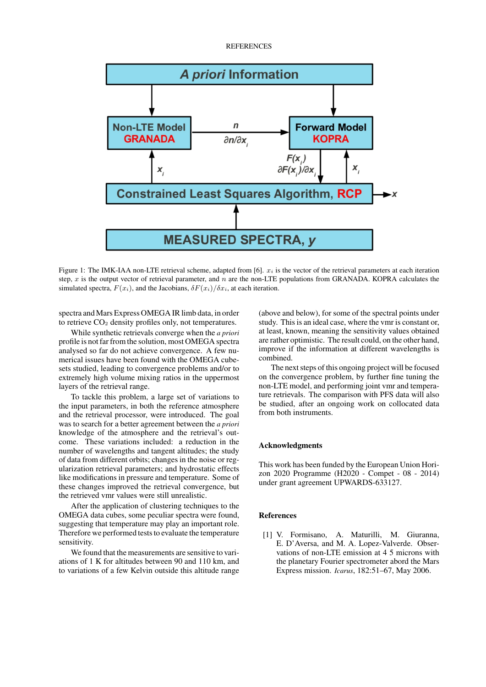**REFERENCES** 



Figure 1: The IMK-IAA non-LTE retrieval scheme, adapted from [6].  $x_i$  is the vector of the retrieval parameters at each iteration step,  $x$  is the output vector of retrieval parameter, and  $n$  are the non-LTE populations from GRANADA. KOPRA calculates the simulated spectra,  $F(x_i)$ , and the Jacobians,  $\delta F(x_i)/\delta x_i$ , at each iteration.

spectra and Mars Express OMEGA IR limb data, in order to retrieve  $CO<sub>2</sub>$  density profiles only, not temperatures.

While synthetic retrievals converge when the *a priori* profile is not far from the solution, most OMEGA spectra analysed so far do not achieve convergence. A few numerical issues have been found with the OMEGA cubesets studied, leading to convergence problems and/or to extremely high volume mixing ratios in the uppermost layers of the retrieval range.

To tackle this problem, a large set of variations to the input parameters, in both the reference atmosphere and the retrieval processor, were introduced. The goal was to search for a better agreement between the *a priori* knowledge of the atmosphere and the retrieval's outcome. These variations included: a reduction in the number of wavelengths and tangent altitudes; the study of data from different orbits; changes in the noise or regularization retrieval parameters; and hydrostatic effects like modifications in pressure and temperature. Some of these changes improved the retrieval convergence, but the retrieved vmr values were still unrealistic.

After the application of clustering techniques to the OMEGA data cubes, some peculiar spectra were found, suggesting that temperature may play an important role. Therefore we performed tests to evaluate the temperature sensitivity.

We found that the measurements are sensitive to variations of 1 K for altitudes between 90 and 110 km, and to variations of a few Kelvin outside this altitude range (above and below), for some of the spectral points under study. This is an ideal case, where the vmr is constant or, at least, known, meaning the sensitivity values obtained are rather optimistic. The result could, on the other hand, improve if the information at different wavelengths is combined.

The next steps of this ongoing project will be focused on the convergence problem, by further fine tuning the non-LTE model, and performing joint vmr and temperature retrievals. The comparison with PFS data will also be studied, after an ongoing work on collocated data from both instruments.

## Acknowledgments

This work has been funded by the European Union Horizon 2020 Programme (H2020 - Compet - 08 - 2014) under grant agreement UPWARDS-633127.

# References

[1] V. Formisano, A. Maturilli, M. Giuranna, E. D'Aversa, and M. A. Lopez-Valverde. Observations of non-LTE emission at 4 5 microns with the planetary Fourier spectrometer abord the Mars Express mission. *Icarus*, 182:51–67, May 2006.